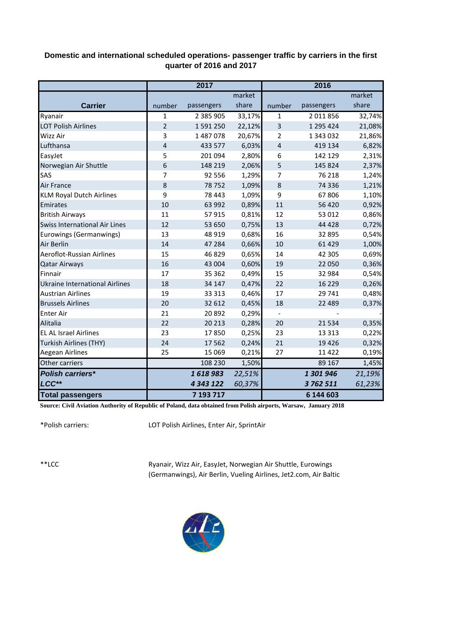## **Domestic and international scheduled operations- passenger traffic by carriers in the first quarter of 2016 and 2017**

|                                       | 2017           |               |        | 2016           |            |        |  |
|---------------------------------------|----------------|---------------|--------|----------------|------------|--------|--|
|                                       |                |               | market |                |            | market |  |
| <b>Carrier</b>                        | number         | passengers    | share  | number         | passengers | share  |  |
| Ryanair                               | $\mathbf{1}$   | 2 385 905     | 33,17% | $\mathbf{1}$   | 2 011 856  | 32,74% |  |
| <b>LOT Polish Airlines</b>            | $\overline{2}$ | 1591250       | 22,12% | $\overline{3}$ | 1 295 424  | 21,08% |  |
| Wizz Air                              | 3              | 1487078       | 20,67% | 2              | 1 343 032  | 21,86% |  |
| Lufthansa                             | 4              | 433 577       | 6,03%  | $\overline{4}$ | 419 134    | 6,82%  |  |
| EasyJet                               | 5              | 201 094       | 2,80%  | 6              | 142 129    | 2,31%  |  |
| Norwegian Air Shuttle                 | 6              | 148 219       | 2,06%  | 5              | 145 824    | 2,37%  |  |
| SAS                                   | 7              | 92 556        | 1,29%  | 7              | 76 218     | 1,24%  |  |
| <b>Air France</b>                     | 8              | 78752         | 1,09%  | 8              | 74 336     | 1,21%  |  |
| <b>KLM Royal Dutch Airlines</b>       | 9              | 78 4 43       | 1,09%  | 9              | 67806      | 1,10%  |  |
| Emirates                              | 10             | 63 992        | 0,89%  | 11             | 56 4 20    | 0,92%  |  |
| <b>British Airways</b>                | 11             | 57915         | 0,81%  | 12             | 53 012     | 0,86%  |  |
| <b>Swiss International Air Lines</b>  | 12             | 53 650        | 0,75%  | 13             | 44 4 28    | 0,72%  |  |
| Eurowings (Germanwings)               | 13             | 48 9 19       | 0,68%  | 16             | 32 895     | 0,54%  |  |
| <b>Air Berlin</b>                     | 14             | 47 284        | 0,66%  | 10             | 61 4 29    | 1,00%  |  |
| Aeroflot-Russian Airlines             | 15             | 46829         | 0,65%  | 14             | 42 305     | 0,69%  |  |
| <b>Qatar Airways</b>                  | 16             | 43 004        | 0,60%  | 19             | 22 050     | 0,36%  |  |
| Finnair                               | 17             | 35 362        | 0,49%  | 15             | 32 984     | 0,54%  |  |
| <b>Ukraine International Airlines</b> | 18             | 34 147        | 0,47%  | 22             | 16 2 2 9   | 0,26%  |  |
| <b>Austrian Airlines</b>              | 19             | 33 313        | 0,46%  | 17             | 29 741     | 0,48%  |  |
| <b>Brussels Airlines</b>              | 20             | 32 612        | 0,45%  | 18             | 22 489     | 0,37%  |  |
| <b>Enter Air</b>                      | 21             | 20892         | 0,29%  | $\frac{1}{2}$  |            |        |  |
| Alitalia                              | 22             | 20 213        | 0,28%  | 20             | 21 5 34    | 0,35%  |  |
| <b>EL AL Israel Airlines</b>          | 23             | 17850         | 0,25%  | 23             | 13 3 13    | 0,22%  |  |
| Turkish Airlines (THY)                | 24             | 17 5 62       | 0,24%  | 21             | 19 4 26    | 0,32%  |  |
| Aegean Airlines                       | 25             | 15 0 69       | 0,21%  | 27             | 11 4 22    | 0,19%  |  |
| Other carriers                        |                | 108 230       | 1,50%  |                | 89 167     | 1,45%  |  |
| <b>Polish carriers*</b>               |                | 1618983       | 22,51% |                | 1 301 946  | 21,19% |  |
| LCC**                                 |                | 4 3 4 3 1 2 2 | 60,37% |                | 3762511    | 61,23% |  |
| <b>Total passengers</b>               |                | 7 193 717     |        |                | 6 144 603  |        |  |

**Source: Civil Aviation Authority of Republic of Poland, data obtained from Polish airports, Warsaw, January 2018**

\*Polish carriers:

LOT Polish Airlines, Enter Air, SprintAir

\*\*LCC

Ryanair, Wizz Air, EasyJet, Norwegian Air Shuttle, Eurowings (Germanwings), Air Berlin, Vueling Airlines, Jet2.com, Air Baltic